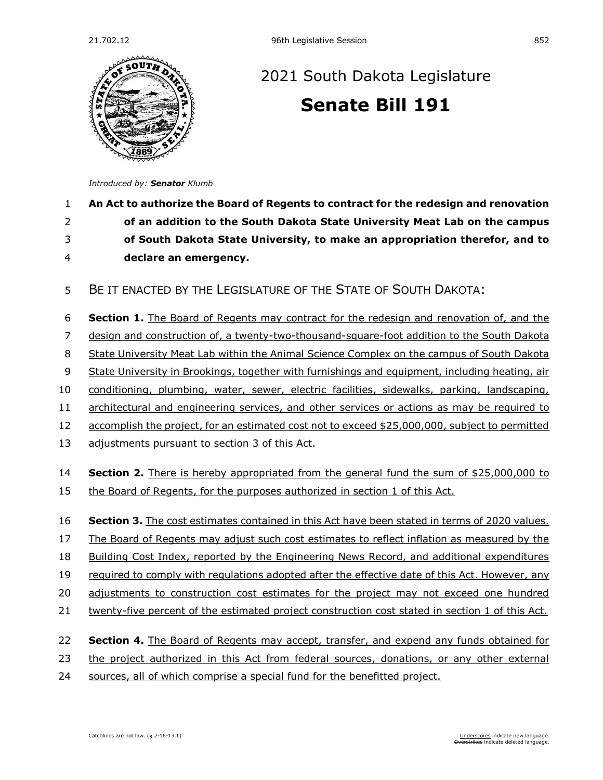

## [2021 South Dakota Legislature](https://sdlegislature.gov/Session/Bills/44) **[Senate Bill 191](https://sdlegislature.gov/Session/Bill/22422)**

*Introduced by: Senator [Klumb](https://sdlegislature.gov/Legislators/Profile/1811/Detail)*

## **An Act to authorize the Board of Regents to contract for the redesign and renovation of an addition to the South Dakota State University Meat Lab on the campus of South Dakota State University, to make an appropriation therefor, and to declare an emergency.**

BE IT ENACTED BY THE LEGISLATURE OF THE STATE OF SOUTH DAKOTA:

**Section 1.** The Board of Regents may contract for the redesign and renovation of, and the

design and construction of, a twenty-two-thousand-square-foot addition to the South Dakota

State University Meat Lab within the Animal Science Complex on the campus of South Dakota

State University in Brookings, together with furnishings and equipment, including heating, air

conditioning, plumbing, water, sewer, electric facilities, sidewalks, parking, landscaping,

11 architectural and engineering services, and other services or actions as may be required to

accomplish the project, for an estimated cost not to exceed \$25,000,000, subject to permitted

13 adjustments pursuant to section 3 of this Act.

 **Section 2.** There is hereby appropriated from the general fund the sum of \$25,000,000 to the Board of Regents, for the purposes authorized in section 1 of this Act.

**Section 3.** The cost estimates contained in this Act have been stated in terms of 2020 values.

The Board of Regents may adjust such cost estimates to reflect inflation as measured by the

Building Cost Index, reported by the Engineering News Record, and additional expenditures

required to comply with regulations adopted after the effective date of this Act. However, any

adjustments to construction cost estimates for the project may not exceed one hundred

- twenty-five percent of the estimated project construction cost stated in section 1 of this Act.
- **Section 4.** The Board of Regents may accept, transfer, and expend any funds obtained for
- the project authorized in this Act from federal sources, donations, or any other external
- 24 sources, all of which comprise a special fund for the benefitted project.